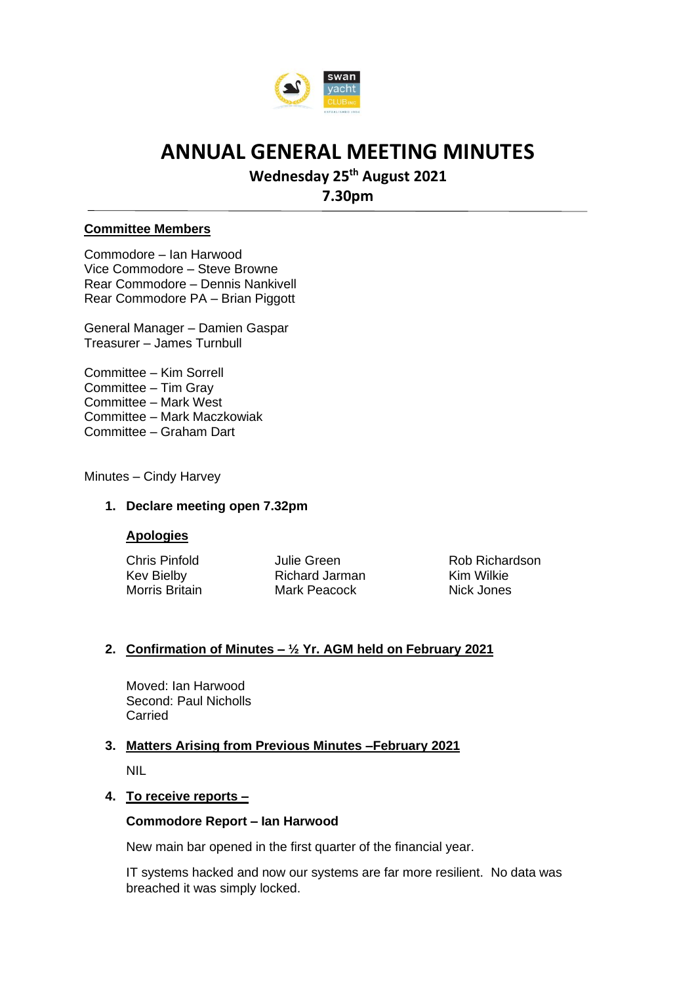

## **Wednesday 25th August 2021**

**7.30pm**

#### **Committee Members**

Commodore – Ian Harwood Vice Commodore – Steve Browne Rear Commodore – Dennis Nankivell Rear Commodore PA – Brian Piggott

General Manager – Damien Gaspar Treasurer – James Turnbull

Committee – Kim Sorrell Committee – Tim Gray Committee – Mark West Committee – Mark Maczkowiak Committee – Graham Dart

Minutes – Cindy Harvey

#### **1. Declare meeting open 7.32pm**

#### **Apologies**

Kev Bielby **Richard Jarman** Kim Wilkie<br>
Morris Britain Mark Peacock Nick Jones Mark Peacock Nick Jones

Chris Pinfold **Chris Pinfold** Julie Green **Rob Richardson** 

#### **2. Confirmation of Minutes – ½ Yr. AGM held on February 2021**

Moved: Ian Harwood Second: Paul Nicholls Carried

### **3. Matters Arising from Previous Minutes –February 2021**

NIL

#### **4. To receive reports –**

#### **Commodore Report – Ian Harwood**

New main bar opened in the first quarter of the financial year.

IT systems hacked and now our systems are far more resilient. No data was breached it was simply locked.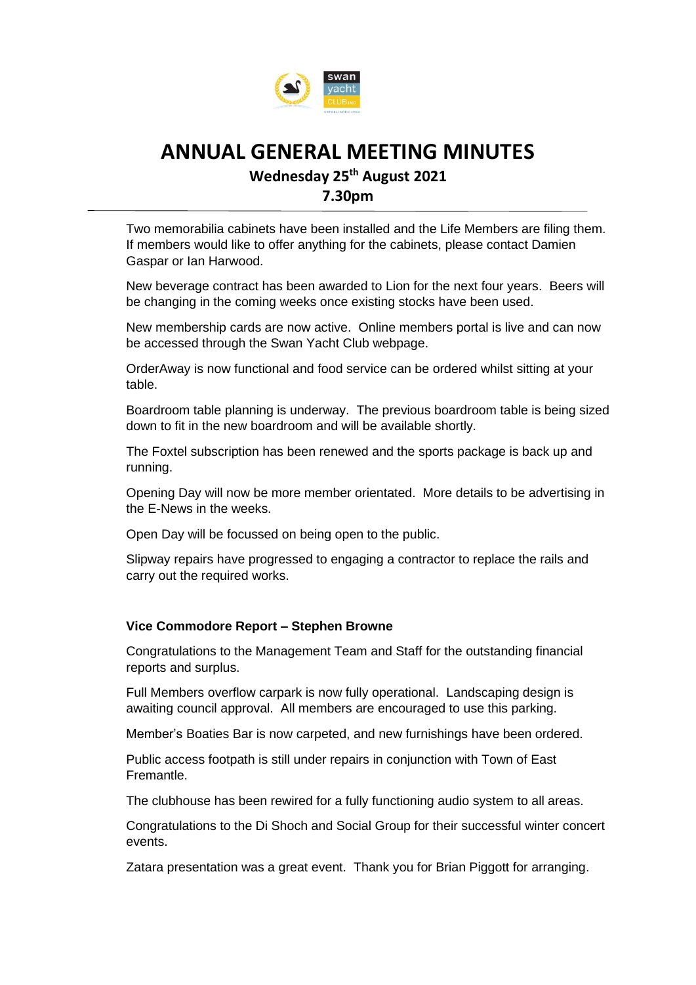

**Wednesday 25th August 2021** 

**7.30pm**

Two memorabilia cabinets have been installed and the Life Members are filing them. If members would like to offer anything for the cabinets, please contact Damien Gaspar or Ian Harwood.

New beverage contract has been awarded to Lion for the next four years. Beers will be changing in the coming weeks once existing stocks have been used.

New membership cards are now active. Online members portal is live and can now be accessed through the Swan Yacht Club webpage.

OrderAway is now functional and food service can be ordered whilst sitting at your table.

Boardroom table planning is underway. The previous boardroom table is being sized down to fit in the new boardroom and will be available shortly.

The Foxtel subscription has been renewed and the sports package is back up and running.

Opening Day will now be more member orientated. More details to be advertising in the E-News in the weeks.

Open Day will be focussed on being open to the public.

Slipway repairs have progressed to engaging a contractor to replace the rails and carry out the required works.

#### **Vice Commodore Report – Stephen Browne**

Congratulations to the Management Team and Staff for the outstanding financial reports and surplus.

Full Members overflow carpark is now fully operational. Landscaping design is awaiting council approval. All members are encouraged to use this parking.

Member's Boaties Bar is now carpeted, and new furnishings have been ordered.

Public access footpath is still under repairs in conjunction with Town of East Fremantle.

The clubhouse has been rewired for a fully functioning audio system to all areas.

Congratulations to the Di Shoch and Social Group for their successful winter concert events.

Zatara presentation was a great event. Thank you for Brian Piggott for arranging.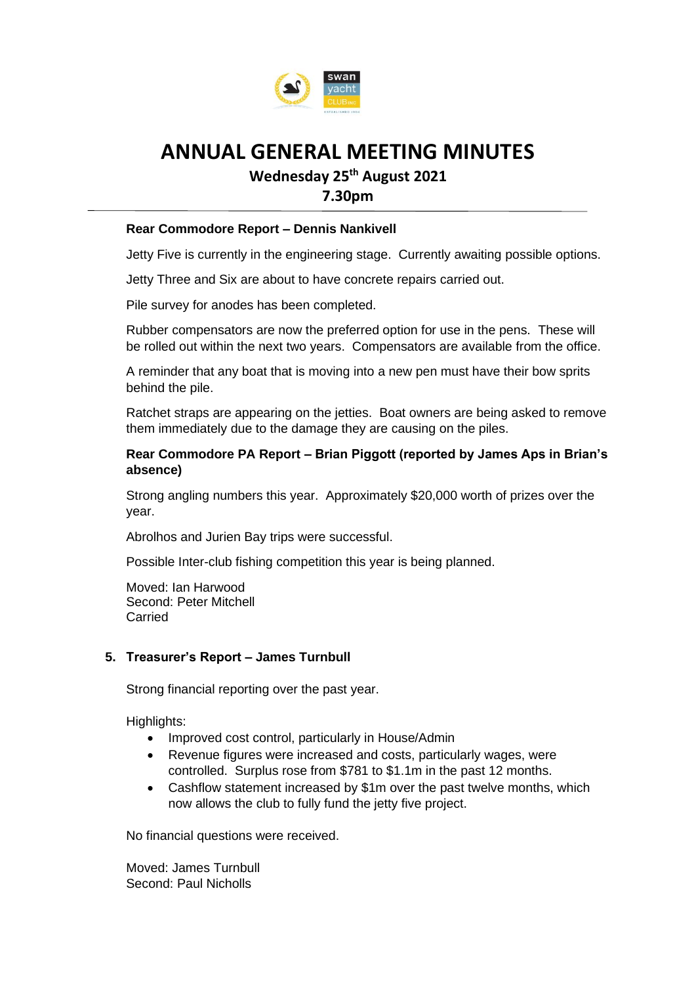

**Wednesday 25th August 2021** 

**7.30pm**

#### **Rear Commodore Report – Dennis Nankivell**

Jetty Five is currently in the engineering stage. Currently awaiting possible options.

Jetty Three and Six are about to have concrete repairs carried out.

Pile survey for anodes has been completed.

Rubber compensators are now the preferred option for use in the pens. These will be rolled out within the next two years. Compensators are available from the office.

A reminder that any boat that is moving into a new pen must have their bow sprits behind the pile.

Ratchet straps are appearing on the jetties. Boat owners are being asked to remove them immediately due to the damage they are causing on the piles.

#### **Rear Commodore PA Report – Brian Piggott (reported by James Aps in Brian's absence)**

Strong angling numbers this year. Approximately \$20,000 worth of prizes over the year.

Abrolhos and Jurien Bay trips were successful.

Possible Inter-club fishing competition this year is being planned.

Moved: Ian Harwood Second: Peter Mitchell Carried

#### **5. Treasurer's Report – James Turnbull**

Strong financial reporting over the past year.

Highlights:

- Improved cost control, particularly in House/Admin
- Revenue figures were increased and costs, particularly wages, were controlled. Surplus rose from \$781 to \$1.1m in the past 12 months.
- Cashflow statement increased by \$1m over the past twelve months, which now allows the club to fully fund the jetty five project.

No financial questions were received.

Moved: James Turnbull Second: Paul Nicholls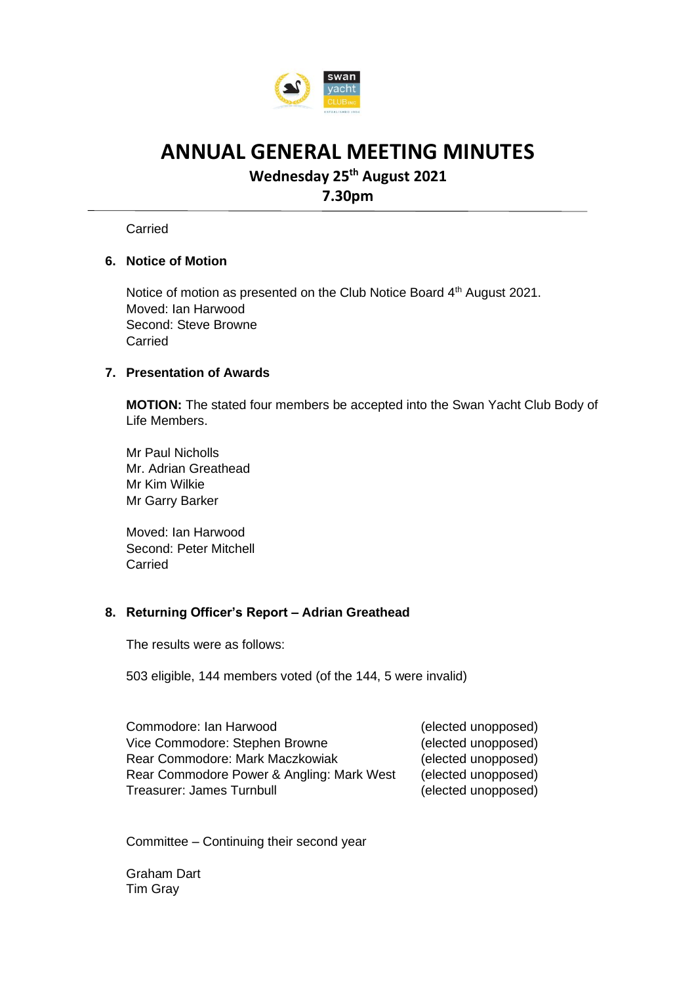

## **Wednesday 25th August 2021**

**7.30pm**

**Carried** 

### **6. Notice of Motion**

Notice of motion as presented on the Club Notice Board 4<sup>th</sup> August 2021. Moved: Ian Harwood Second: Steve Browne Carried

#### **7. Presentation of Awards**

**MOTION:** The stated four members be accepted into the Swan Yacht Club Body of Life Members.

Mr Paul Nicholls Mr. Adrian Greathead Mr Kim Wilkie Mr Garry Barker

Moved: Ian Harwood Second: Peter Mitchell Carried

### **8. Returning Officer's Report – Adrian Greathead**

The results were as follows:

503 eligible, 144 members voted (of the 144, 5 were invalid)

Commodore: Ian Harwood (elected unopposed) Vice Commodore: Stephen Browne (elected unopposed) Rear Commodore: Mark Maczkowiak (elected unopposed) Rear Commodore Power & Angling: Mark West (elected unopposed) Treasurer: James Turnbull (elected unopposed)

Committee – Continuing their second year

Graham Dart Tim Gray